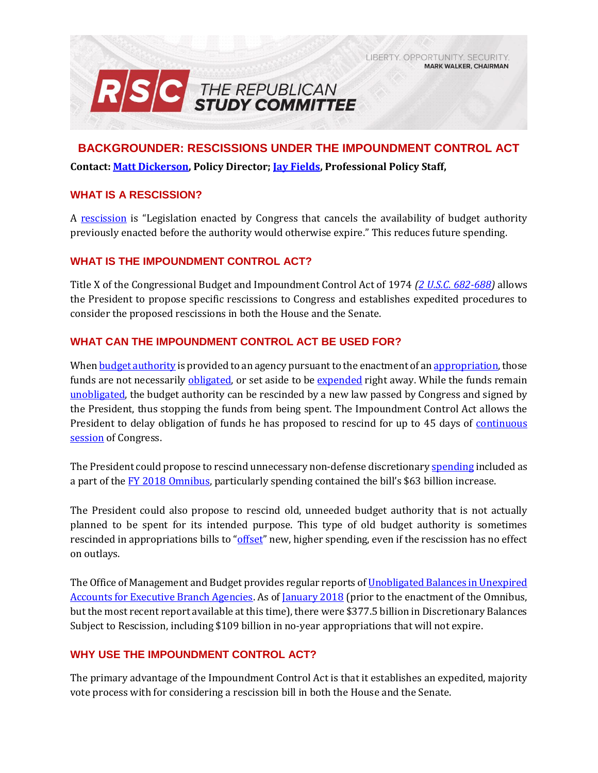LIBERTY, OPPORTUNITY, SECURITY, **MARK WALKER, CHAIRMAN** 



**BACKGROUNDER: RESCISSIONS UNDER THE IMPOUNDMENT CONTROL ACT Contact: [Matt Dickerson,](mailto:matthew.dickerson@mail.house.gov?subject=RE:%20Legislative%20Look%20Ahead) Policy Director[; Jay Fields,](mailto:jay.fields.mail.house.gov) Professional Policy Staff,** 

### **WHAT IS A RESCISSION?**

A [rescission](https://www.gao.gov/assets/80/76911.pdf#page=89) is "Legislation enacted by Congress that cancels the availability of budget authority previously enacted before the authority would otherwise expire." This reduces future spending.

### **WHAT IS THE IMPOUNDMENT CONTROL ACT?**

Title X of the Congressional Budget and Impoundment Control Act of 1974 *[\(2 U.S.C. 682-688\)](http://uscode.house.gov/view.xhtml?path=/prelim@title2/chapter17B&edition=prelim)* allows the President to propose specific rescissions to Congress and establishes expedited procedures to consider the proposed rescissions in both the House and the Senate.

### **WHAT CAN THE IMPOUNDMENT CONTROL ACT BE USED FOR?**

Whe[n budget authority](https://www.gao.gov/assets/80/76911.pdf#page=24) is provided to an agency pursuant to the enactment of a[n appropriation,](https://www.gao.gov/assets/80/76911.pdf#page=17) those funds are not necessarily *obligated*, or set aside to be [expended](https://www.gao.gov/assets/80/76911.pdf#page=52) right away. While the funds remain [unobligated,](https://www.gao.gov/assets/80/76911.pdf#page=76) the budget authority can be rescinded by a new law passed by Congress and signed by the President, thus stopping the funds from being spent. The Impoundment Control Act allows the President to delay obligation of funds he has proposed to rescind for up to 45 days of [continuous](http://uscode.house.gov/view.xhtml?req=(title:2%20section:682%20edition:prelim)%20OR%20(granuleid:USC-prelim-title2-section682)&f=treesort&edition=prelim&num=0&jumpTo=true#substructure-location_5)  [session](http://uscode.house.gov/view.xhtml?req=(title:2%20section:682%20edition:prelim)%20OR%20(granuleid:USC-prelim-title2-section682)&f=treesort&edition=prelim&num=0&jumpTo=true#substructure-location_5) of Congress.

The President could propose to rescind unnecessary non-defense discretionar[y spending](https://gallery.mailchimp.com/d4254037a343b683d142111e0/files/908b7457-a446-4f3c-9d54-bfd950708ae8/RSC_Legislative_Bulletin_FY_2018_Omnibus_March_22_2018.pdf#page=3) included as a part of the [FY 2018 Omnibus,](https://gallery.mailchimp.com/d4254037a343b683d142111e0/files/908b7457-a446-4f3c-9d54-bfd950708ae8/RSC_Legislative_Bulletin_FY_2018_Omnibus_March_22_2018.pdf) particularly spending contained the bill's \$63 billion increase.

The President could also propose to rescind old, unneeded budget authority that is not actually planned to be spent for its intended purpose. This type of old budget authority is sometimes rescinded in appropriations bills to "[offset](https://rsc-walker.house.gov/sites/republicanstudycommittee.house.gov/files/Initiatives/SecuringAmericasFutureEconomyRSCFY2018Budget.pdf#page=133)" new, higher spending, even if the rescission has no effect on outlays.

The Office of Management and Budget provides regular reports of Unobligated Balances in Unexpired [Accounts for Executive Branch Agencies.](https://max.omb.gov/maxportal/document/SF133/Budget/FY%202018%20-%20SF%20133%20Reports%20on%20Budget%20Execution%20and%20Budgetary%20Resources.html) As of [January 2018](https://max.omb.gov/maxportal/document/SF133/Budget/attachments/1375242472/1405158707.pdf) (prior to the enactment of the Omnibus, but the most recent report available at this time), there were \$377.5 billion in Discretionary Balances Subject to Rescission, including \$109 billion in no-year appropriations that will not expire.

### **WHY USE THE IMPOUNDMENT CONTROL ACT?**

The primary advantage of the Impoundment Control Act is that it establishes an expedited, majority vote process with for considering a rescission bill in both the House and the Senate.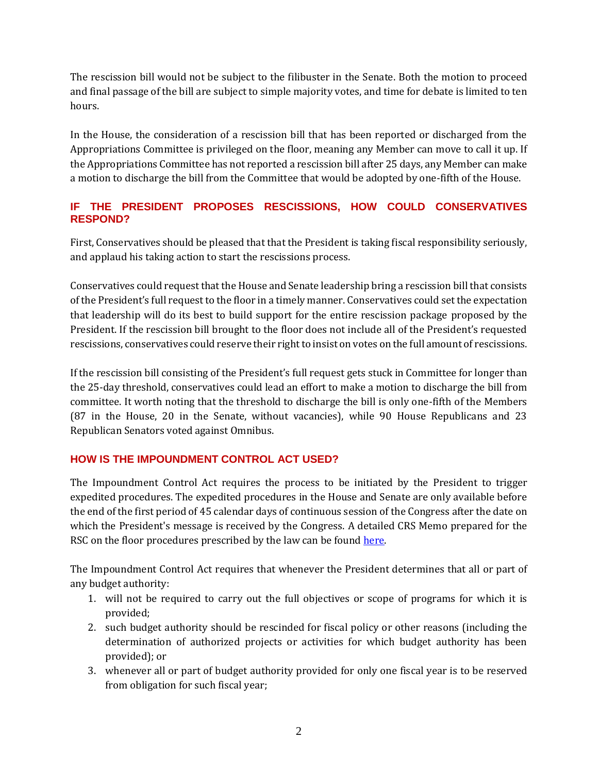The rescission bill would not be subject to the filibuster in the Senate. Both the motion to proceed and final passage of the bill are subject to simple majority votes, and time for debate is limited to ten hours.

In the House, the consideration of a rescission bill that has been reported or discharged from the Appropriations Committee is privileged on the floor, meaning any Member can move to call it up. If the Appropriations Committee has not reported a rescission bill after 25 days, any Member can make a motion to discharge the bill from the Committee that would be adopted by one-fifth of the House.

## **IF THE PRESIDENT PROPOSES RESCISSIONS, HOW COULD CONSERVATIVES RESPOND?**

First, Conservatives should be pleased that that the President is taking fiscal responsibility seriously, and applaud his taking action to start the rescissions process.

Conservatives could request that the House and Senate leadership bring a rescission bill that consists of the President's full request to the floor in a timely manner. Conservatives could set the expectation that leadership will do its best to build support for the entire rescission package proposed by the President. If the rescission bill brought to the floor does not include all of the President's requested rescissions, conservatives could reserve their right to insist on votes on the full amount of rescissions.

If the rescission bill consisting of the President's full request gets stuck in Committee for longer than the 25-day threshold, conservatives could lead an effort to make a motion to discharge the bill from committee. It worth noting that the threshold to discharge the bill is only one-fifth of the Members (87 in the House, 20 in the Senate, without vacancies), while 90 House Republicans and 23 Republican Senators voted against Omnibus.

## **HOW IS THE IMPOUNDMENT CONTROL ACT USED?**

The Impoundment Control Act requires the process to be initiated by the President to trigger expedited procedures. The expedited procedures in the House and Senate are only available before the end of the first period of 45 calendar days of continuous session of the Congress after the date on which the President's message is received by the Congress. A detailed CRS Memo prepared for the RSC on the floor procedures prescribed by the law can be found [here.](https://gallery.mailchimp.com/d4254037a343b683d142111e0/files/a92c5795-7f8c-4ef7-953a-a626626794fa/CRS_Memo_Expedited_Rescission_Procedure_Final.pdf)

The Impoundment Control Act requires that whenever the President determines that all or part of any budget authority:

- 1. will not be required to carry out the full objectives or scope of programs for which it is provided;
- 2. such budget authority should be rescinded for fiscal policy or other reasons (including the determination of authorized projects or activities for which budget authority has been provided); or
- 3. whenever all or part of budget authority provided for only one fiscal year is to be reserved from obligation for such fiscal year;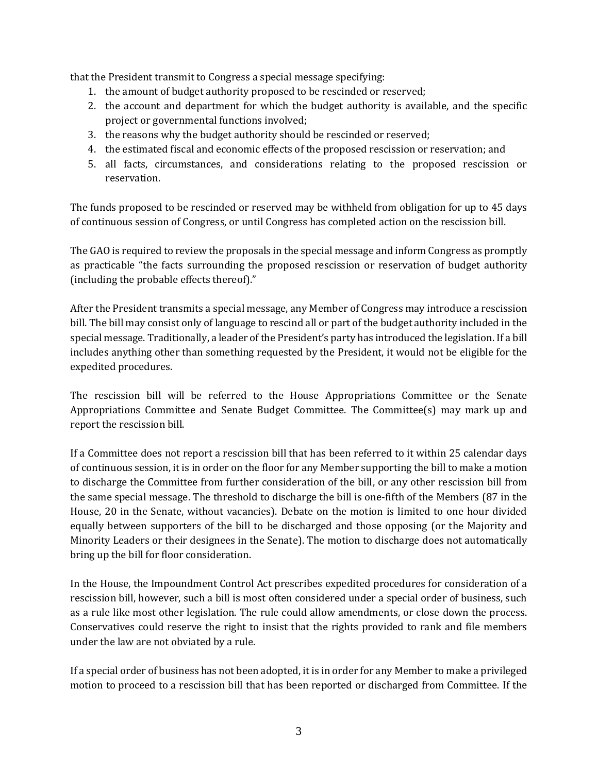that the President transmit to Congress a special message specifying:

- 1. the amount of budget authority proposed to be rescinded or reserved;
- 2. the account and department for which the budget authority is available, and the specific project or governmental functions involved;
- 3. the reasons why the budget authority should be rescinded or reserved;
- 4. the estimated fiscal and economic effects of the proposed rescission or reservation; and
- 5. all facts, circumstances, and considerations relating to the proposed rescission or reservation.

The funds proposed to be rescinded or reserved may be withheld from obligation for up to 45 days of continuous session of Congress, or until Congress has completed action on the rescission bill.

The GAO is required to review the proposals in the special message and inform Congress as promptly as practicable "the facts surrounding the proposed rescission or reservation of budget authority (including the probable effects thereof)."

After the President transmits a special message, any Member of Congress may introduce a rescission bill. The bill may consist only of language to rescind all or part of the budget authority included in the special message. Traditionally, a leader of the President's party has introduced the legislation. If a bill includes anything other than something requested by the President, it would not be eligible for the expedited procedures.

The rescission bill will be referred to the House Appropriations Committee or the Senate Appropriations Committee and Senate Budget Committee. The Committee(s) may mark up and report the rescission bill.

If a Committee does not report a rescission bill that has been referred to it within 25 calendar days of continuous session, it is in order on the floor for any Member supporting the bill to make a motion to discharge the Committee from further consideration of the bill, or any other rescission bill from the same special message. The threshold to discharge the bill is one-fifth of the Members (87 in the House, 20 in the Senate, without vacancies). Debate on the motion is limited to one hour divided equally between supporters of the bill to be discharged and those opposing (or the Majority and Minority Leaders or their designees in the Senate). The motion to discharge does not automatically bring up the bill for floor consideration.

In the House, the Impoundment Control Act prescribes expedited procedures for consideration of a rescission bill, however, such a bill is most often considered under a special order of business, such as a rule like most other legislation. The rule could allow amendments, or close down the process. Conservatives could reserve the right to insist that the rights provided to rank and file members under the law are not obviated by a rule.

If a special order of business has not been adopted, it is in order for any Member to make a privileged motion to proceed to a rescission bill that has been reported or discharged from Committee. If the